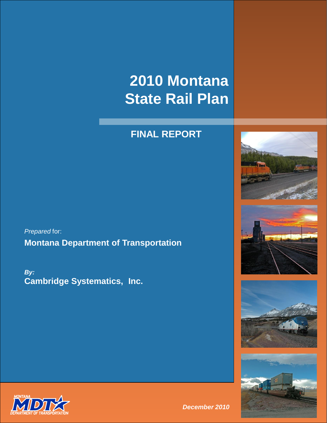## **2010 Montana State Rail Plan**

## **FINAL REPORT**

**Montana Department of Transportation**  *Prepared* for:

*By:*  **Cambridge Systematics, Inc.** 











*December 2010*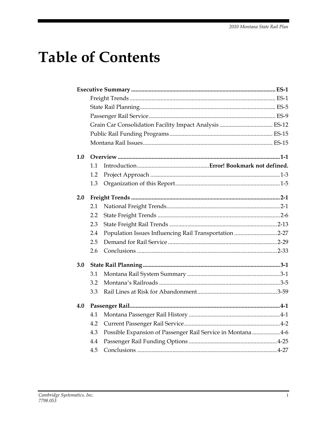## **Table of Contents**

| 1.0 |     |                                                            |  |  |
|-----|-----|------------------------------------------------------------|--|--|
|     | 1.1 |                                                            |  |  |
|     | 1.2 |                                                            |  |  |
|     | 1.3 |                                                            |  |  |
| 2.0 |     |                                                            |  |  |
|     | 2.1 |                                                            |  |  |
|     | 2.2 |                                                            |  |  |
|     | 2.3 |                                                            |  |  |
|     | 2.4 | Population Issues Influencing Rail Transportation 2-27     |  |  |
|     | 2.5 |                                                            |  |  |
|     | 2.6 |                                                            |  |  |
| 3.0 |     |                                                            |  |  |
|     | 3.1 |                                                            |  |  |
|     | 3.2 |                                                            |  |  |
|     | 3.3 |                                                            |  |  |
| 4.0 |     |                                                            |  |  |
|     | 4.1 |                                                            |  |  |
|     | 4.2 |                                                            |  |  |
|     | 4.3 | Possible Expansion of Passenger Rail Service in Montana4-6 |  |  |
|     | 4.4 |                                                            |  |  |
|     | 4.5 |                                                            |  |  |